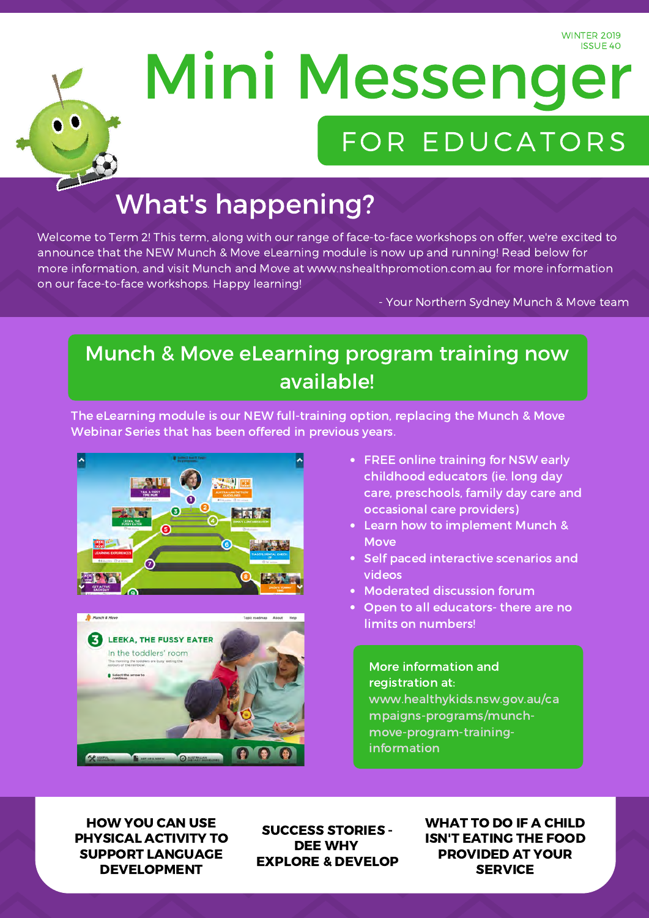WINTER 2019 ISSUE 40



# Mini Messenger FOR EDUCATORS

# What's happening?

Welcome to Term 2! This term, along with our range of face-to-face workshops on offer, we're excited to announce that the NEW Munch & Move eLearning module is now up and running! Read below for more information, and visit Munch and Move at www.nshealthpromotion.com.au for more information on our face-to-face workshops. Happy learning!

- Your Northern Sydney Munch & Move team

## Munch & Move eLearning program training now available!

The eLearning module is our NEW full-training option, replacing the Munch & Move Webinar Series that has been offered in previous years.





- FREE online training for NSW early childhood educators (ie. long day care, preschools, family day care and occasional care providers)
- Learn how to implement Munch & **Move**
- Self paced interactive scenarios and videos
- Moderated discussion forum
- Open to all educators- there are no limits on numbers!

#### More information and registration at: [www.healthykids.nsw.gov.au/ca](https://www.healthykids.nsw.gov.au/campaigns-programs/munch-move-program-training/training-information.aspx) mpaigns-programs/munchmove-program-traininginformation

HOW YOU CAN USE PHYSICAL ACTIVITY TO SUPPORT LANGUAGE DEVELOPMENT

SUCCESS STORIES - DEE WHY EXPLORE & DEVELOP WHAT TO DO IF A CHILD ISN'T EATING THE FOOD PROVIDED AT YOUR SERVICE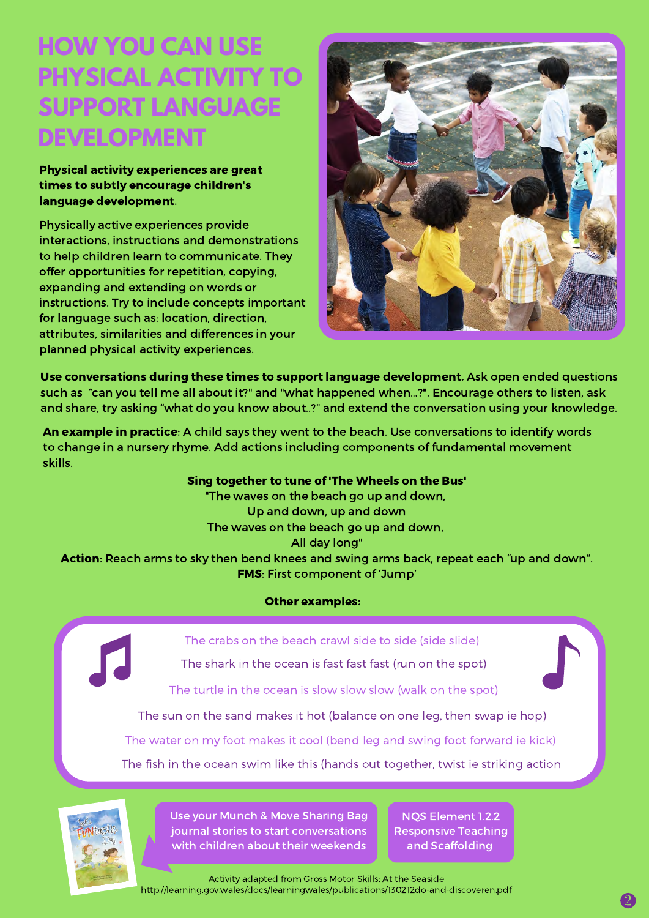# **HOW YOU CAN USE PHYSICAL ACTIVITY TO SUPPORT LANGUAGE DEVELOPMENT**

#### Physical activity experiences are great times to subtly encourage children's language development.

Physically active experiences provide interactions, instructions and demonstrations to help children learn to communicate. They offer opportunities for repetition, copying, expanding and extending on words or instructions. Try to include concepts important for language such as: location, direction, attributes, similarities and differences in your planned physical activity experiences.



Use conversations during these times to support language development. Ask open ended questions such as "can you tell me all about it?" and "what happened when…?". Encourage others to listen, ask and share, try asking "what do you know about..?" and extend the conversation using your knowledge.

An example in practice: A child says they went to the beach. Use conversations to identify words to change in a nursery rhyme. Add actions including components of fundamental movement skills.

#### Sing together to tune of 'The Wheels on the Bus'

"The waves on the beach go up and down, Up and down, up and down The waves on the beach go up and down, All day long" Action: Reach arms to sky then bend knees and swing arms back, repeat each "up and down". FMS: First component of 'Jump'

#### Other examples:

The crabs on the beach crawl side to side (side slide)

The shark in the ocean is fast fast fast (run on the spot)

The turtle in the ocean is slow slow slow (walk on the spot)

The sun on the sand makes it hot (balance on one leg, then swap ie hop)

The water on my foot makes it cool (bend leg and swing foot forward ie kick)

The fish in the ocean swim like this (hands out together, twist ie striking action



Use your Munch & Move Sharing Bag journal stories to start conversations with children about their weekends

NQS Element 1.2.2 Responsive Teaching and Scaffolding

Activity adapted from Gross Motor Skills: At the Seaside [http://learning.gov.wales/docs/learningwales/publications/130212do-and-discoveren.pdf](https://learning.gov.wales/docs/learningwales/publications/130212do-and-discoveren.pdf)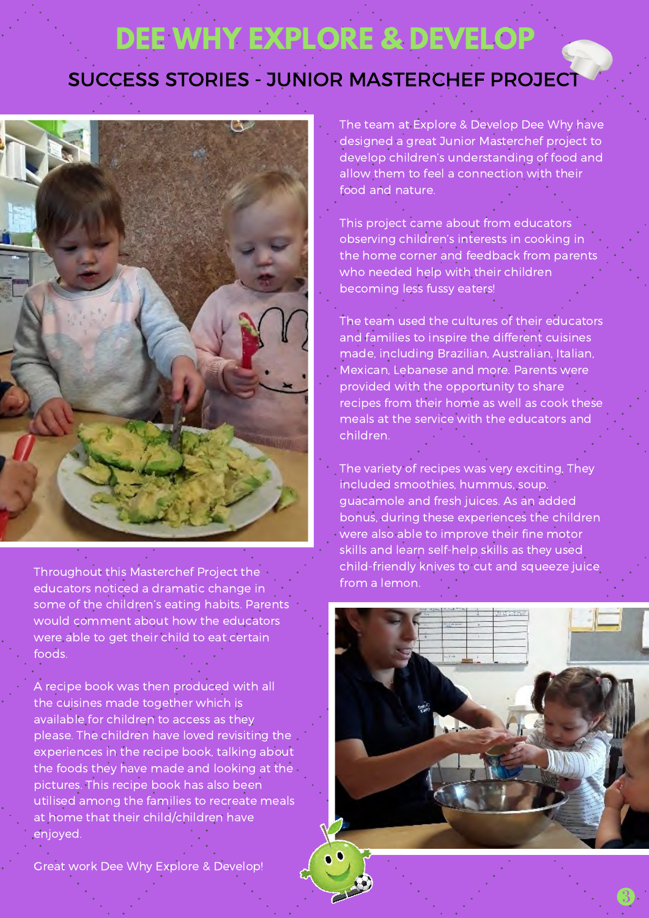# **DEE WHY EXPLORE & DEVELOP**

### SUCCESS STORIES - JUNIOR MASTERCHEF PROJECT



Throughout this Masterchef Project the educators noticed a dramatic change in some of the children's eating habits. Parents would comment about how the educators were able to get their child to eat certain foods.

A recipe book was then produced with all the cuisines made together which is available for children to access as they please. The children have loved revisiting the experiences in the recipe book, talking about the foods they have made and looking at the pictures. This recipe book has also been utilised among the families to recreate meals at home that their child/children have enjoyed.

Great work Dee Why Explore & Develop!

The team at Explore & Develop Dee Why have designed a great Junior Masterchef project to develop children's understanding of food and allow them to feel a connection with their food and nature.

This project came about from educators observing children's interests in cooking in the home corner and feedback from parents who needed help with their children becoming less fussy eaters!

The team used the cultures of their educators and families to inspire the different cuisines made, including Brazilian, Australian, Italian, Mexican, Lebanese and more. Parents were provided with the opportunity to share recipes from their home as well as cook these meals at the service with the educators and children.

The variety of recipes was very exciting, They included smoothies, hummus, soup, guacamole and fresh juices. As an added bonus, during these experiences the children were also able to improve their fine motor skills and learn self-help skills as they used child-friendly knives to cut and squeeze juice from a lemon.